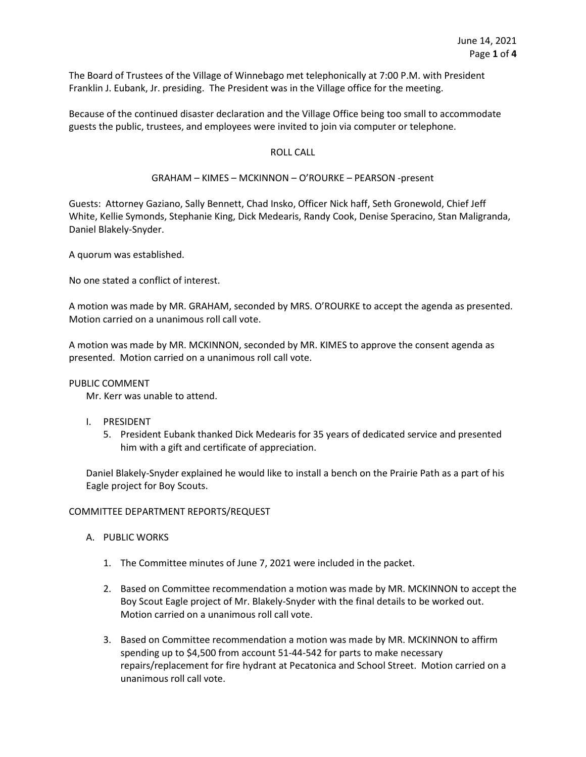The Board of Trustees of the Village of Winnebago met telephonically at 7:00 P.M. with President Franklin J. Eubank, Jr. presiding. The President was in the Village office for the meeting.

Because of the continued disaster declaration and the Village Office being too small to accommodate guests the public, trustees, and employees were invited to join via computer or telephone.

### ROLL CALL

#### GRAHAM – KIMES – MCKINNON – O'ROURKE – PEARSON -present

Guests: Attorney Gaziano, Sally Bennett, Chad Insko, Officer Nick haff, Seth Gronewold, Chief Jeff White, Kellie Symonds, Stephanie King, Dick Medearis, Randy Cook, Denise Speracino, Stan Maligranda, Daniel Blakely-Snyder.

A quorum was established.

No one stated a conflict of interest.

A motion was made by MR. GRAHAM, seconded by MRS. O'ROURKE to accept the agenda as presented. Motion carried on a unanimous roll call vote.

A motion was made by MR. MCKINNON, seconded by MR. KIMES to approve the consent agenda as presented. Motion carried on a unanimous roll call vote.

#### PUBLIC COMMENT

Mr. Kerr was unable to attend.

- I. PRESIDENT
	- 5. President Eubank thanked Dick Medearis for 35 years of dedicated service and presented him with a gift and certificate of appreciation.

Daniel Blakely-Snyder explained he would like to install a bench on the Prairie Path as a part of his Eagle project for Boy Scouts.

#### COMMITTEE DEPARTMENT REPORTS/REQUEST

- A. PUBLIC WORKS
	- 1. The Committee minutes of June 7, 2021 were included in the packet.
	- 2. Based on Committee recommendation a motion was made by MR. MCKINNON to accept the Boy Scout Eagle project of Mr. Blakely-Snyder with the final details to be worked out. Motion carried on a unanimous roll call vote.
	- 3. Based on Committee recommendation a motion was made by MR. MCKINNON to affirm spending up to \$4,500 from account 51-44-542 for parts to make necessary repairs/replacement for fire hydrant at Pecatonica and School Street. Motion carried on a unanimous roll call vote.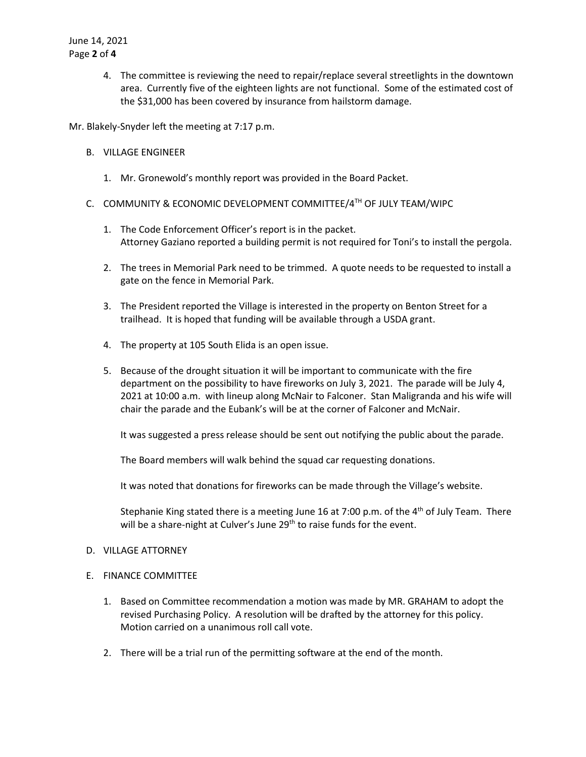4. The committee is reviewing the need to repair/replace several streetlights in the downtown area. Currently five of the eighteen lights are not functional. Some of the estimated cost of the \$31,000 has been covered by insurance from hailstorm damage.

Mr. Blakely-Snyder left the meeting at 7:17 p.m.

- B. VILLAGE ENGINEER
	- 1. Mr. Gronewold's monthly report was provided in the Board Packet.
- C. COMMUNITY & ECONOMIC DEVELOPMENT COMMITTEE/4TH OF JULY TEAM/WIPC
	- 1. The Code Enforcement Officer's report is in the packet. Attorney Gaziano reported a building permit is not required for Toni's to install the pergola.
	- 2. The trees in Memorial Park need to be trimmed. A quote needs to be requested to install a gate on the fence in Memorial Park.
	- 3. The President reported the Village is interested in the property on Benton Street for a trailhead. It is hoped that funding will be available through a USDA grant.
	- 4. The property at 105 South Elida is an open issue.
	- 5. Because of the drought situation it will be important to communicate with the fire department on the possibility to have fireworks on July 3, 2021. The parade will be July 4, 2021 at 10:00 a.m. with lineup along McNair to Falconer. Stan Maligranda and his wife will chair the parade and the Eubank's will be at the corner of Falconer and McNair.

It was suggested a press release should be sent out notifying the public about the parade.

The Board members will walk behind the squad car requesting donations.

It was noted that donations for fireworks can be made through the Village's website.

Stephanie King stated there is a meeting June 16 at 7:00 p.m. of the  $4<sup>th</sup>$  of July Team. There will be a share-night at Culver's June 29<sup>th</sup> to raise funds for the event.

# D. VILLAGE ATTORNEY

# E. FINANCE COMMITTEE

- 1. Based on Committee recommendation a motion was made by MR. GRAHAM to adopt the revised Purchasing Policy. A resolution will be drafted by the attorney for this policy. Motion carried on a unanimous roll call vote.
- 2. There will be a trial run of the permitting software at the end of the month.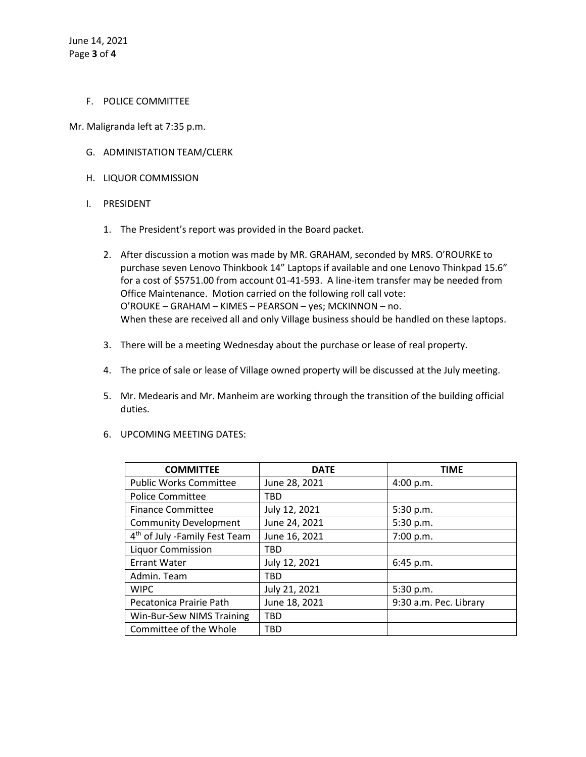### F. POLICE COMMITTEE

Mr. Maligranda left at 7:35 p.m.

- G. ADMINISTATION TEAM/CLERK
- H. LIQUOR COMMISSION
- I. PRESIDENT
	- 1. The President's report was provided in the Board packet.
	- 2. After discussion a motion was made by MR. GRAHAM, seconded by MRS. O'ROURKE to purchase seven Lenovo Thinkbook 14" Laptops if available and one Lenovo Thinkpad 15.6" for a cost of \$5751.00 from account 01-41-593. A line-item transfer may be needed from Office Maintenance. Motion carried on the following roll call vote: O'ROUKE – GRAHAM – KIMES – PEARSON – yes; MCKINNON – no. When these are received all and only Village business should be handled on these laptops.
	- 3. There will be a meeting Wednesday about the purchase or lease of real property.
	- 4. The price of sale or lease of Village owned property will be discussed at the July meeting.
	- 5. Mr. Medearis and Mr. Manheim are working through the transition of the building official duties.
	- 6. UPCOMING MEETING DATES:

| <b>COMMITTEE</b>                          | <b>DATE</b>   | <b>TIME</b>            |
|-------------------------------------------|---------------|------------------------|
| <b>Public Works Committee</b>             | June 28, 2021 | 4:00 p.m.              |
| <b>Police Committee</b>                   | <b>TBD</b>    |                        |
| <b>Finance Committee</b>                  | July 12, 2021 | 5:30 p.m.              |
| <b>Community Development</b>              | June 24, 2021 | 5:30 p.m.              |
| 4 <sup>th</sup> of July -Family Fest Team | June 16, 2021 | 7:00 p.m.              |
| <b>Liquor Commission</b>                  | TBD           |                        |
| <b>Errant Water</b>                       | July 12, 2021 | 6:45 p.m.              |
| Admin. Team                               | <b>TBD</b>    |                        |
| <b>WIPC</b>                               | July 21, 2021 | 5:30 p.m.              |
| Pecatonica Prairie Path                   | June 18, 2021 | 9:30 a.m. Pec. Library |
| Win-Bur-Sew NIMS Training                 | TBD           |                        |
| Committee of the Whole                    | <b>TBD</b>    |                        |